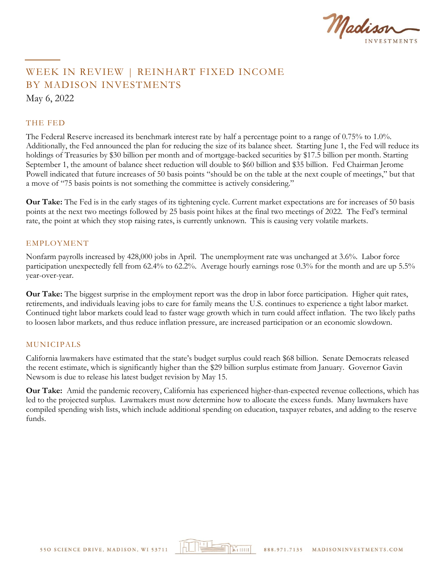

# WEEK IN REVIEW | REINHART FIXED INCOME BY MADISON INVESTMENTS May 6, 2022

#### THE FED

The Federal Reserve increased its benchmark interest rate by half a percentage point to a range of 0.75% to 1.0%. Additionally, the Fed announced the plan for reducing the size of its balance sheet. Starting June 1, the Fed will reduce its holdings of Treasuries by \$30 billion per month and of mortgage-backed securities by \$17.5 billion per month. Starting September 1, the amount of balance sheet reduction will double to \$60 billion and \$35 billion. Fed Chairman Jerome Powell indicated that future increases of 50 basis points "should be on the table at the next couple of meetings," but that a move of "75 basis points is not something the committee is actively considering."

**Our Take:** The Fed is in the early stages of its tightening cycle. Current market expectations are for increases of 50 basis points at the next two meetings followed by 25 basis point hikes at the final two meetings of 2022. The Fed's terminal rate, the point at which they stop raising rates, is currently unknown. This is causing very volatile markets.

#### EMPLOYMENT

Nonfarm payrolls increased by 428,000 jobs in April. The unemployment rate was unchanged at 3.6%. Labor force participation unexpectedly fell from 62.4% to 62.2%. Average hourly earnings rose 0.3% for the month and are up 5.5% year-over-year.

**Our Take:** The biggest surprise in the employment report was the drop in labor force participation. Higher quit rates, retirements, and individuals leaving jobs to care for family means the U.S. continues to experience a tight labor market. Continued tight labor markets could lead to faster wage growth which in turn could affect inflation. The two likely paths to loosen labor markets, and thus reduce inflation pressure, are increased participation or an economic slowdown.

### MUNICIPALS

California lawmakers have estimated that the state's budget surplus could reach \$68 billion. Senate Democrats released the recent estimate, which is significantly higher than the \$29 billion surplus estimate from January. Governor Gavin Newsom is due to release his latest budget revision by May 15.

**Our Take:** Amid the pandemic recovery, California has experienced higher-than-expected revenue collections, which has led to the projected surplus. Lawmakers must now determine how to allocate the excess funds. Many lawmakers have compiled spending wish lists, which include additional spending on education, taxpayer rebates, and adding to the reserve funds.

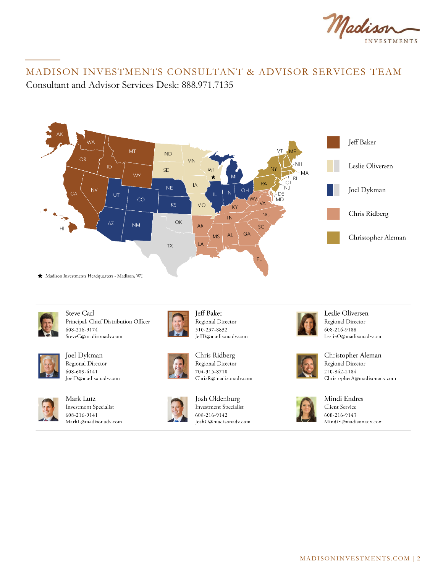

## MADISON INVESTMENTS CONSULTANT & ADVISOR SERVICES TEAM Consultant and Advisor Services Desk: 888.971.7135